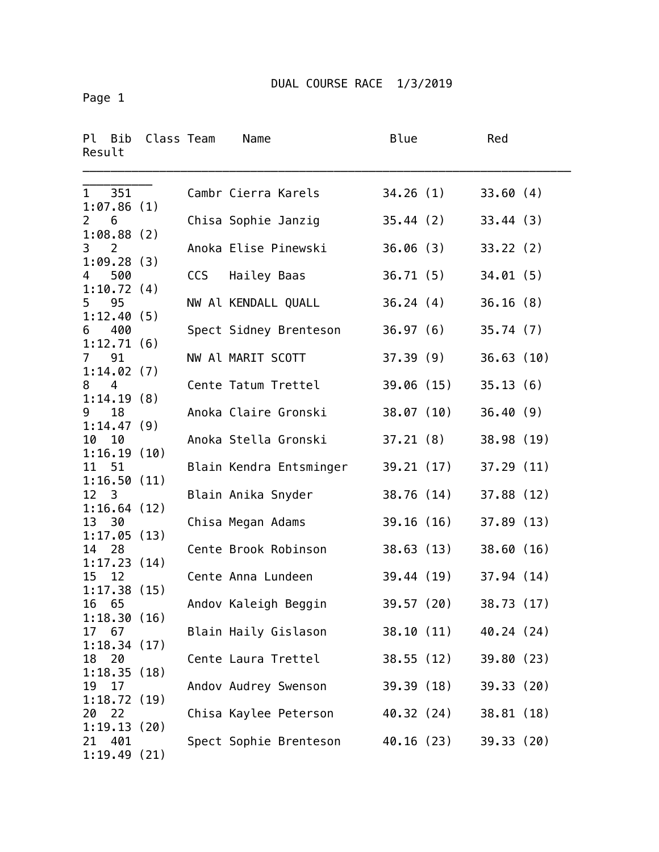Page 1

| Ρl<br>Bib<br>Result               | Class Team |     | Name                    | Blue       |            | Red        |  |
|-----------------------------------|------------|-----|-------------------------|------------|------------|------------|--|
| 351<br>$\mathbf{1}$<br>1:07.86(1) |            |     | Cambr Cierra Karels     | 34.26(1)   |            | 33.60(4)   |  |
| $\overline{2}$<br>6<br>1:08.88(2) |            |     | Chisa Sophie Janzig     | 35.44(2)   |            | 33.44(3)   |  |
| 3<br>2                            |            |     | Anoka Elise Pinewski    | 36.06(3)   |            | 33.22(2)   |  |
| 1:09.28(3)<br>500<br>4            |            | CCS | Hailey Baas             | 36.71(5)   |            | 34.01(5)   |  |
| 1:10.72(4)<br>5<br>95             |            |     | NW Al KENDALL QUALL     | 36.24(4)   |            | 36.16(8)   |  |
| 1:12.40(5)<br>400<br>6            |            |     | Spect Sidney Brenteson  | 36.97(6)   |            | 35.74(7)   |  |
| 1:12.71(6)<br>91<br>7             |            |     | NW Al MARIT SCOTT       | 37.39(9)   |            | 36.63(10)  |  |
| 1:14.02(7)<br>4<br>8              |            |     | Cente Tatum Trettel     | 39.06(15)  |            | 35.13(6)   |  |
| 1:14.19(8)<br>18<br>9             |            |     | Anoka Claire Gronski    |            | 38.07 (10) | 36.40(9)   |  |
| 1:14.47(9)                        |            |     | Anoka Stella Gronski    |            |            |            |  |
| 10<br>10<br>1:16.19(10)           |            |     |                         | 37.21(8)   |            | 38.98 (19) |  |
| 11<br>51<br>1:16.50(11)           |            |     | Blain Kendra Entsminger | 39.21(17)  |            | 37.29(11)  |  |
| 12 <sup>3</sup><br>1:16.64(12)    |            |     | Blain Anika Snyder      | 38.76 (14) |            | 37.88 (12) |  |
| 13 30<br>1:17.05(13)              |            |     | Chisa Megan Adams       |            | 39.16 (16) | 37.89(13)  |  |
| 28<br>14<br>1:17.23(14)           |            |     | Cente Brook Robinson    |            | 38.63 (13) | 38.60(16)  |  |
| 15<br>12<br>1:17.38(15)           |            |     | Cente Anna Lundeen      |            | 39.44 (19) | 37.94(14)  |  |
| 65<br>16<br>1:18.30(16)           |            |     | Andov Kaleigh Beggin    | 39.57(20)  |            | 38.73 (17) |  |
| 67<br>17                          |            |     | Blain Haily Gislason    |            | 38.10 (11) | 40.24 (24) |  |
| 1:18.34(17)<br>20<br>18           |            |     | Cente Laura Trettel     |            | 38.55 (12) | 39.80 (23) |  |
| 1:18.35(18)<br>17<br>19           |            |     | Andov Audrey Swenson    |            | 39.39 (18) | 39.33 (20) |  |
| 1:18.72(19)<br>20<br>22           |            |     | Chisa Kaylee Peterson   |            | 40.32 (24) | 38.81 (18) |  |
| 1:19.13(20)<br>401<br>21          |            |     | Spect Sophie Brenteson  |            | 40.16 (23) | 39.33(20)  |  |
| 1:19.49(21)                       |            |     |                         |            |            |            |  |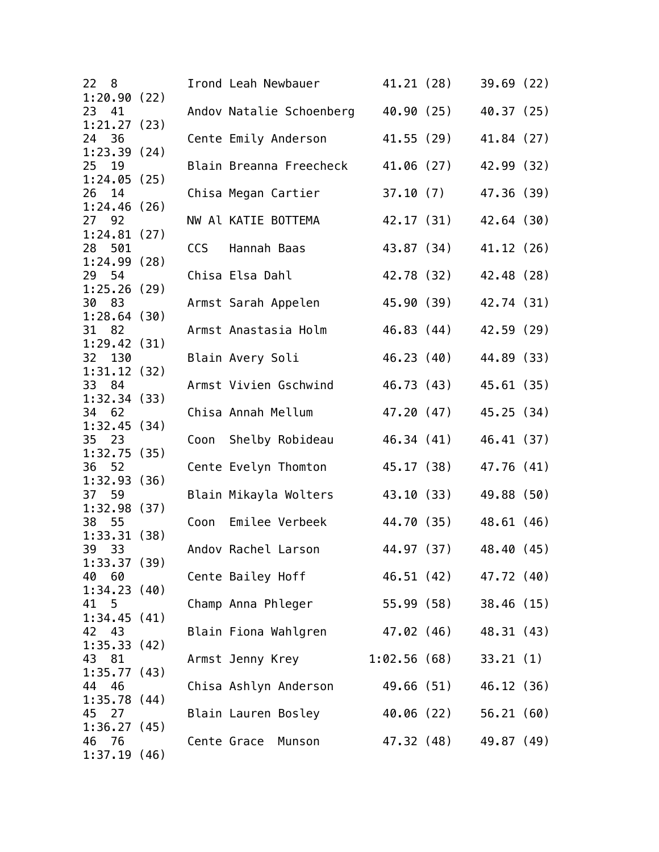| 22<br>8                   |      | Irond Leah Newbauer             | 41.21 (28)  |            | 39.69(22)  |  |
|---------------------------|------|---------------------------------|-------------|------------|------------|--|
| 1:20.90(22)<br>23<br>41   |      | Andov Natalie Schoenberg        |             | 40.90 (25) | 40.37 (25) |  |
| 1:21.27(23)               |      |                                 |             |            |            |  |
| 24 36<br>1:23.39(24)      |      | Cente Emily Anderson            |             | 41.55 (29) | 41.84 (27) |  |
| 25 19                     |      | Blain Breanna Freecheck         |             | 41.06 (27) | 42.99 (32) |  |
| 1:24.05(25)<br>26<br>14   |      | Chisa Megan Cartier             | 37.10(7)    |            | 47.36 (39) |  |
| 1:24.46(26)               |      |                                 |             |            |            |  |
| 27 92                     |      | NW Al KATIE BOTTEMA             | 42.17 (31)  |            | 42.64 (30) |  |
| 1:24.81(27)<br>28 501     | CCS  | Hannah Baas                     |             | 43.87 (34) | 41.12 (26) |  |
| 1:24.99(28)               |      |                                 |             |            |            |  |
| 29 54                     |      | Chisa Elsa Dahl                 |             | 42.78 (32) | 42.48 (28) |  |
| 1:25.26(29)<br>30<br>83   |      | Armst Sarah Appelen             |             | 45.90 (39) | 42.74 (31) |  |
| 1:28.64(30)               |      |                                 |             |            |            |  |
| 31 82                     |      | Armst Anastasia Holm            |             | 46.83 (44) | 42.59 (29) |  |
| 1:29.42(31)               |      | Blain Avery Soli                |             | 46.23 (40) | 44.89 (33) |  |
| 32 130<br>1:31.12(32)     |      |                                 |             |            |            |  |
| 33 84                     |      | Armst Vivien Gschwind           |             | 46.73 (43) | 45.61 (35) |  |
| 1:32.34(33)               |      |                                 |             |            |            |  |
| 34 62<br>1:32.45(34)      |      | Chisa Annah Mellum              | 47.20 (47)  |            | 45.25 (34) |  |
| 35<br>23                  | Coon | Shelby Robideau                 |             | 46.34 (41) | 46.41 (37) |  |
| 1:32.75(35)               |      |                                 |             |            |            |  |
| 36 52<br>1:32.93(36)      |      | Cente Evelyn Thomton            | 45.17 (38)  |            | 47.76 (41) |  |
| 37<br>59                  |      | Blain Mikayla Wolters           |             | 43.10 (33) | 49.88 (50) |  |
| 1:32.98(37)               |      |                                 |             |            |            |  |
| 38<br>- 55<br>1:33.31(38) | Coon | Emilee Verbeek                  |             | 44.70 (35) | 48.61 (46) |  |
| 39 33                     |      | Andov Rachel Larson             |             | 44.97 (37) | 48.40 (45) |  |
| 1:33.37(39)               |      |                                 |             |            |            |  |
| 40 60<br>1:34.23(40)      |      | Cente Bailey Hoff               |             | 46.51 (42) | 47.72 (40) |  |
| 41 5                      |      | Champ Anna Phleger              |             | 55.99 (58) | 38.46 (15) |  |
| 1:34.45(41)               |      |                                 |             |            |            |  |
| 42<br>43                  |      | Blain Fiona Wahlgren 47.02 (46) |             |            | 48.31 (43) |  |
| 1:35.33(42)<br>81<br>43   |      | Armst Jenny Krey                | 1:02.56(68) |            | 33.21(1)   |  |
| 1:35.77(43)               |      |                                 |             |            |            |  |
| 44 46                     |      | Chisa Ashlyn Anderson           |             | 49.66 (51) | 46.12 (36) |  |
| 1:35.78(44)<br>45 27      |      | Blain Lauren Bosley             |             | 40.06 (22) | 56.21(60)  |  |
| 1:36.27(45)               |      |                                 |             |            |            |  |
| 46 76                     |      | Cente Grace<br>Munson           |             | 47.32 (48) | 49.87 (49) |  |
| 1:37.19(46)               |      |                                 |             |            |            |  |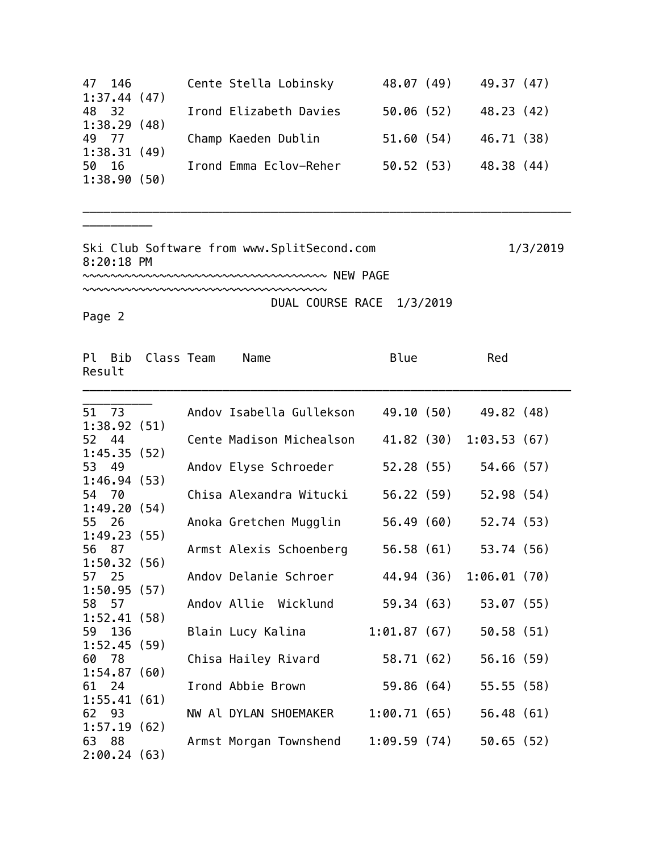| 47 146      | Cente Stella Lobinsky  | 48.07 (49) | 49.37 (47) |
|-------------|------------------------|------------|------------|
| 1:37.44(47) |                        |            |            |
| 48 32       | Irond Elizabeth Davies | 50.06(52)  | 48.23 (42) |
| 1:38.29(48) |                        |            |            |
| 49 77       | Champ Kaeden Dublin    | 51.60(54)  | 46.71 (38) |
| 1:38.31(49) |                        |            |            |
| 50 16       | Irond Emma Eclov-Reher | 50.52(53)  | 48.38 (44) |
| 1:38.90(50) |                        |            |            |

\_\_\_\_\_\_\_\_\_\_\_\_\_\_\_\_\_\_\_\_\_\_\_\_\_\_\_\_\_\_\_\_\_\_\_\_\_\_\_\_\_\_\_\_\_\_\_\_\_\_\_\_\_\_\_\_\_\_\_\_\_\_\_\_\_\_\_\_\_\_

Ski Club Software from www.SplitSecond.com 1/3/2019 8:20:18 PM

~~~~~~~~~~~~~~~~~~~~~~~~~~~~~~~~~~~ NEW PAGE

~~~~~~~~~~~~~~~~~~~~~~~~~~~~~~~~~~~ DUAL COURSE RACE 1/3/2019

Page 2

\_\_\_\_\_\_\_\_\_\_

| Pl Bib<br>Result | Class Team  | Name                     | Blue        | Red         |  |
|------------------|-------------|--------------------------|-------------|-------------|--|
| 51 73            |             | Andov Isabella Gullekson | 49.10 (50)  | 49.82 (48)  |  |
|                  | 1:38.92(51) |                          |             |             |  |
| 52 44            |             | Cente Madison Michealson | 41.82 (30)  | 1:03.53(67) |  |
| 53 49            | 1:45.35(52) |                          |             |             |  |
|                  | 1:46.94(53) | Andov Elyse Schroeder    | 52.28 (55)  | 54.66(57)   |  |
| 54 70            |             | Chisa Alexandra Witucki  | 56.22 (59)  | 52.98 (54)  |  |
|                  | 1:49.20(54) |                          |             |             |  |
| 55 26            |             | Anoka Gretchen Mugglin   | 56.49 (60)  | 52.74 (53)  |  |
|                  | 1:49.23(55) |                          |             |             |  |
| 56 87            |             | Armst Alexis Schoenberg  | 56.58 (61)  | 53.74 (56)  |  |
|                  | 1:50.32(56) |                          |             |             |  |
| 57 25            |             | Andov Delanie Schroer    | 44.94 (36)  | 1:06.01(70) |  |
|                  | 1:50.95(57) |                          |             |             |  |
| 58 57            |             | Andov Allie Wicklund     | 59.34 (63)  | 53.07(55)   |  |
|                  | 1:52.41(58) |                          |             |             |  |
| 59 136           |             | Blain Lucy Kalina        | 1:01.87(67) | 50.58 (51)  |  |
|                  | 1:52.45(59) |                          |             |             |  |
| 60 78            | 1:54.87(60) | Chisa Hailey Rivard      | 58.71 (62)  | 56.16(59)   |  |
| 61 24            |             | Irond Abbie Brown        | 59.86 (64)  | 55.55(58)   |  |
|                  | 1:55.41(61) |                          |             |             |  |
| 62 93            |             | NW Al DYLAN SHOEMAKER    | 1:00.71(65) | 56.48(61)   |  |
|                  | 1:57.19(62) |                          |             |             |  |
| 63 88            |             | Armst Morgan Townshend   | 1:09.59(74) | 50.65(52)   |  |
|                  | 2:00.24(63) |                          |             |             |  |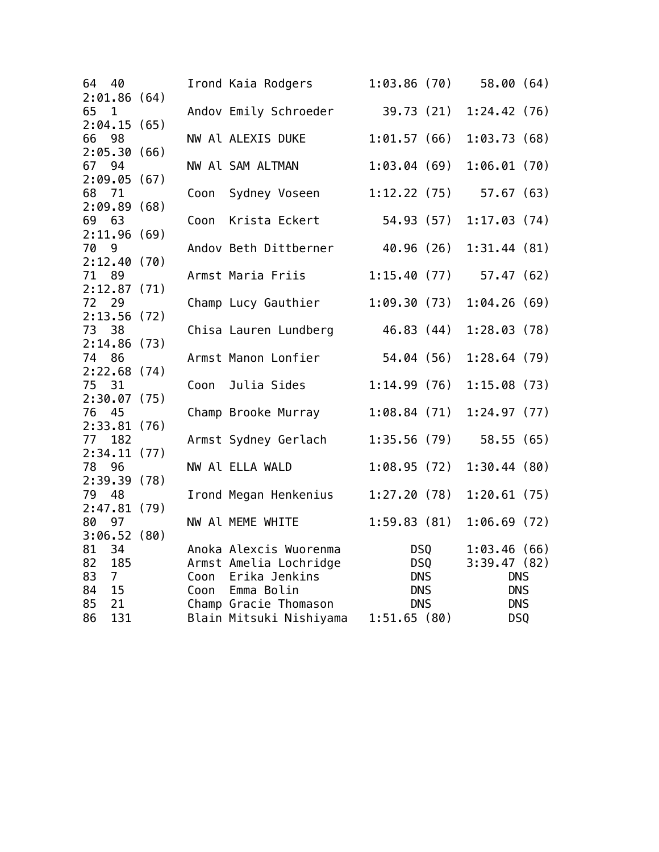| 64<br>40<br>2:01.86(64)             |      | Irond Kaia Rodgers                           | 1:03.86(70)              |            | 58.00(64)                 |  |
|-------------------------------------|------|----------------------------------------------|--------------------------|------------|---------------------------|--|
| 65<br>$\overline{1}$<br>2:04.15(65) |      | Andov Emily Schroeder                        | 39.73 (21)               |            | 1:24.42(76)               |  |
| 66 98                               |      | NW Al ALEXIS DUKE                            | 1:01.57(66)              |            | 1:03.73(68)               |  |
| 2:05.30(66)<br>67 94                |      | NW Al SAM ALTMAN                             | 1:03.04(69)              |            | 1:06.01(70)               |  |
| 2:09.05(67)<br>68 71                | Coon | Sydney Voseen                                | 1:12.22(75)              |            | 57.67(63)                 |  |
| 2:09.89(68)<br>69 63                | Coon | Krista Eckert                                | 54.93 (57)               |            | 1:17.03(74)               |  |
| 2:11.96(69)<br>70<br>9              |      | Andov Beth Dittberner                        | 40.96 (26)               |            | 1:31.44(81)               |  |
| 2:12.40(70)<br>71<br>89             |      | Armst Maria Friis                            | 1:15.40(77)              |            | 57.47(62)                 |  |
| 2:12.87(71)<br>72<br>29             |      | Champ Lucy Gauthier                          | 1:09.30(73)              |            | 1:04.26(69)               |  |
| 2:13.56(72)<br>73 38                |      | Chisa Lauren Lundberg                        | 46.83 (44)               |            | 1:28.03(78)               |  |
| 2:14.86(73)<br>74 86                |      | Armst Manon Lonfier                          | 54.04 (56)               |            | 1:28.64(79)               |  |
| 2:22.68(74)                         |      |                                              |                          |            |                           |  |
| 75 31<br>2:30.07(75)                | Coon | Julia Sides                                  | 1:14.99(76)              |            | 1:15.08(73)               |  |
| 76 45<br>2:33.81(76)                |      | Champ Brooke Murray                          | 1:08.84(71)              |            | 1:24.97(77)               |  |
| 77<br>182<br>2:34.11(77)            |      | Armst Sydney Gerlach                         | 1:35.56(79)              |            | 58.55(65)                 |  |
| 78 96<br>2:39.39(78)                |      | NW Al ELLA WALD                              | 1:08.95(72)              |            | 1:30.44(80)               |  |
| 79<br>48<br>2:47.81(79)             |      | Irond Megan Henkenius                        | 1:27.20(78)              |            | 1:20.61(75)               |  |
| 80<br>97<br>3:06.52(80)             |      | NW Al MEME WHITE                             | 1:59.83(81)              |            | 1:06.69(72)               |  |
| 81<br>34                            |      | Anoka Alexcis Wuorenma                       |                          | DSQ        | 1:03.46(66)               |  |
| 82<br>185<br>83<br>$\overline{7}$   |      | Armst Amelia Lochridge<br>Coon Erika Jenkins | <b>DNS</b>               | <b>DSQ</b> | 3:39.47(82)<br><b>DNS</b> |  |
| 84<br>15<br>85<br>21                |      | Coon Emma Bolin<br>Champ Gracie Thomason     | <b>DNS</b><br><b>DNS</b> |            | <b>DNS</b><br><b>DNS</b>  |  |
| 131<br>86                           |      | Blain Mitsuki Nishiyama                      | 1:51.65(80)              |            | DSQ                       |  |